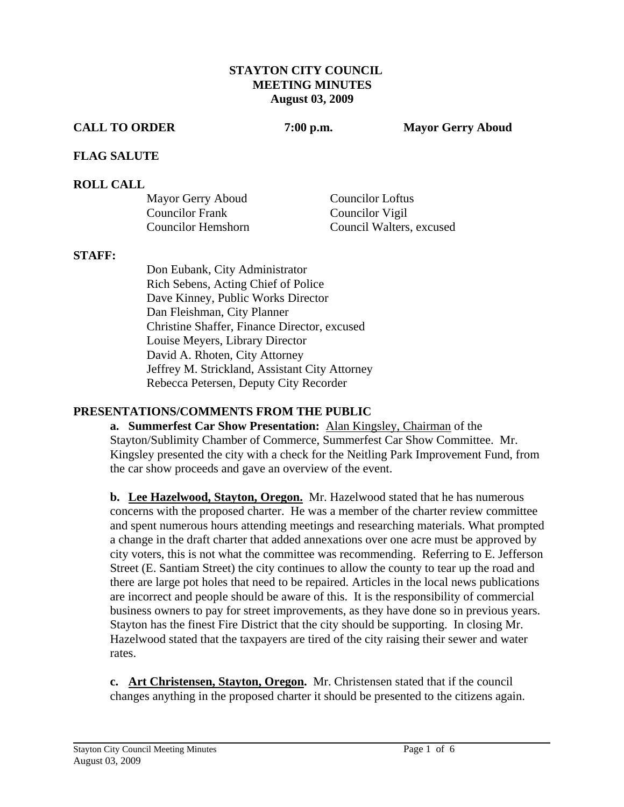### **STAYTON CITY COUNCIL MEETING MINUTES August 03, 2009**

### **CALL TO ORDER 7:00 p.m. Mayor Gerry Aboud**

## **FLAG SALUTE**

## **ROLL CALL**

| Mayor Gerry Aboud      | <b>Councilor Loftus</b>  |
|------------------------|--------------------------|
| <b>Councilor Frank</b> | Councilor Vigil          |
| Councilor Hemshorn     | Council Walters, excused |

#### **STAFF:**

Don Eubank, City Administrator Rich Sebens, Acting Chief of Police Dave Kinney, Public Works Director Dan Fleishman, City Planner Christine Shaffer, Finance Director, excused Louise Meyers, Library Director David A. Rhoten, City Attorney Jeffrey M. Strickland, Assistant City Attorney Rebecca Petersen, Deputy City Recorder

## **PRESENTATIONS/COMMENTS FROM THE PUBLIC**

**a. Summerfest Car Show Presentation:** Alan Kingsley, Chairman of the Stayton/Sublimity Chamber of Commerce, Summerfest Car Show Committee. Mr. Kingsley presented the city with a check for the Neitling Park Improvement Fund, from the car show proceeds and gave an overview of the event.

**b. Lee Hazelwood, Stayton, Oregon.** Mr. Hazelwood stated that he has numerous concerns with the proposed charter. He was a member of the charter review committee and spent numerous hours attending meetings and researching materials. What prompted a change in the draft charter that added annexations over one acre must be approved by city voters, this is not what the committee was recommending. Referring to E. Jefferson Street (E. Santiam Street) the city continues to allow the county to tear up the road and there are large pot holes that need to be repaired. Articles in the local news publications are incorrect and people should be aware of this. It is the responsibility of commercial business owners to pay for street improvements, as they have done so in previous years. Stayton has the finest Fire District that the city should be supporting. In closing Mr. Hazelwood stated that the taxpayers are tired of the city raising their sewer and water rates.

**c. Art Christensen, Stayton, Oregon.** Mr. Christensen stated that if the council changes anything in the proposed charter it should be presented to the citizens again.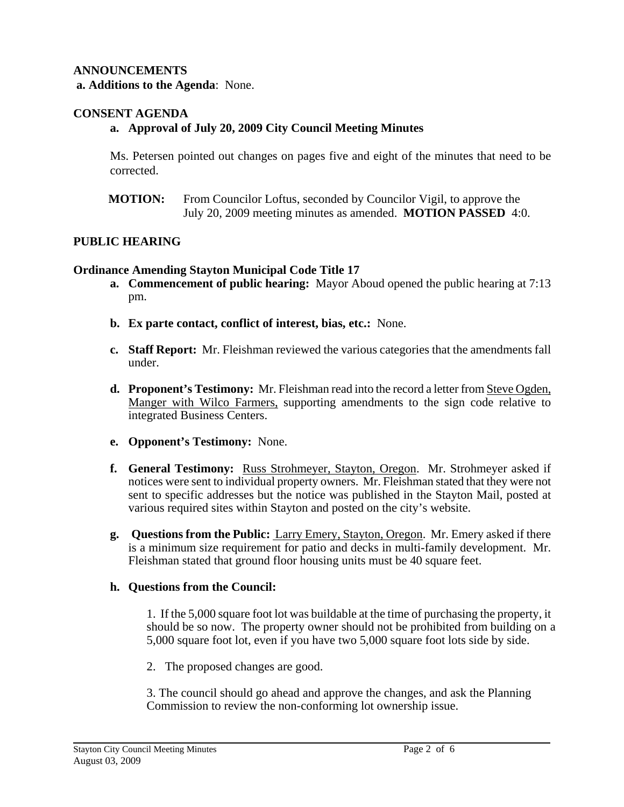## **ANNOUNCEMENTS**

 **a. Additions to the Agenda**: None.

## **CONSENT AGENDA**

## **a. Approval of July 20, 2009 City Council Meeting Minutes**

Ms. Petersen pointed out changes on pages five and eight of the minutes that need to be corrected.

**MOTION:** From Councilor Loftus, seconded by Councilor Vigil, to approve the July 20, 2009 meeting minutes as amended. **MOTION PASSED** 4:0.

## **PUBLIC HEARING**

#### **Ordinance Amending Stayton Municipal Code Title 17**

- **a. Commencement of public hearing:** Mayor Aboud opened the public hearing at 7:13 pm.
- **b. Ex parte contact, conflict of interest, bias, etc.:** None.
- **c. Staff Report:** Mr. Fleishman reviewed the various categories that the amendments fall under.
- **d. Proponent's Testimony:** Mr. Fleishman read into the record a letter from Steve Ogden, Manger with Wilco Farmers, supporting amendments to the sign code relative to integrated Business Centers.
- **e. Opponent's Testimony:** None.
- **f. General Testimony:** Russ Strohmeyer, Stayton, Oregon. Mr. Strohmeyer asked if notices were sent to individual property owners. Mr. Fleishman stated that they were not sent to specific addresses but the notice was published in the Stayton Mail, posted at various required sites within Stayton and posted on the city's website.
- **g. Questions from the Public:** Larry Emery, Stayton, Oregon. Mr. Emery asked if there is a minimum size requirement for patio and decks in multi-family development. Mr. Fleishman stated that ground floor housing units must be 40 square feet.

## **h. Questions from the Council:**

1. If the 5,000 square foot lot was buildable at the time of purchasing the property, it should be so now. The property owner should not be prohibited from building on a 5,000 square foot lot, even if you have two 5,000 square foot lots side by side.

2. The proposed changes are good.

 3. The council should go ahead and approve the changes, and ask the Planning Commission to review the non-conforming lot ownership issue.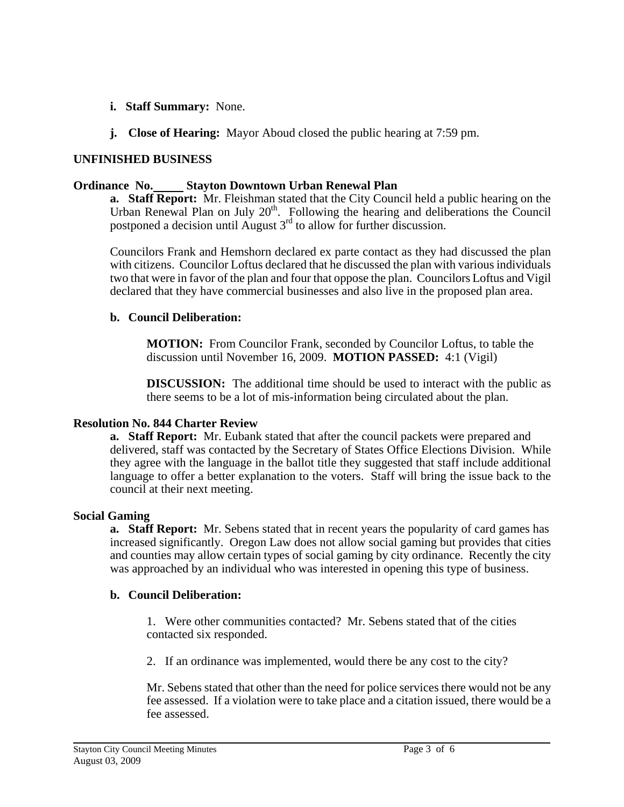- **i. Staff Summary:** None.
- **j. Close of Hearing:** Mayor Aboud closed the public hearing at 7:59 pm.

# **UNFINISHED BUSINESS**

### **Ordinance No. Stayton Downtown Urban Renewal Plan**

**a. Staff Report:** Mr. Fleishman stated that the City Council held a public hearing on the Urban Renewal Plan on July  $20<sup>th</sup>$ . Following the hearing and deliberations the Council postponed a decision until August  $3<sup>rd</sup>$  to allow for further discussion.

Councilors Frank and Hemshorn declared ex parte contact as they had discussed the plan with citizens. Councilor Loftus declared that he discussed the plan with various individuals two that were in favor of the plan and four that oppose the plan. Councilors Loftus and Vigil declared that they have commercial businesses and also live in the proposed plan area.

## **b. Council Deliberation:**

 **MOTION:** From Councilor Frank, seconded by Councilor Loftus, to table the discussion until November 16, 2009. **MOTION PASSED:** 4:1 (Vigil)

**DISCUSSION:** The additional time should be used to interact with the public as there seems to be a lot of mis-information being circulated about the plan.

#### **Resolution No. 844 Charter Review**

**a. Staff Report:** Mr. Eubank stated that after the council packets were prepared and delivered, staff was contacted by the Secretary of States Office Elections Division. While they agree with the language in the ballot title they suggested that staff include additional language to offer a better explanation to the voters. Staff will bring the issue back to the council at their next meeting.

## **Social Gaming**

**a. Staff Report:** Mr. Sebens stated that in recent years the popularity of card games has increased significantly. Oregon Law does not allow social gaming but provides that cities and counties may allow certain types of social gaming by city ordinance. Recently the city was approached by an individual who was interested in opening this type of business.

## **b. Council Deliberation:**

1. Were other communities contacted? Mr. Sebens stated that of the cities contacted six responded.

2. If an ordinance was implemented, would there be any cost to the city?

 Mr. Sebens stated that other than the need for police services there would not be any fee assessed. If a violation were to take place and a citation issued, there would be a fee assessed.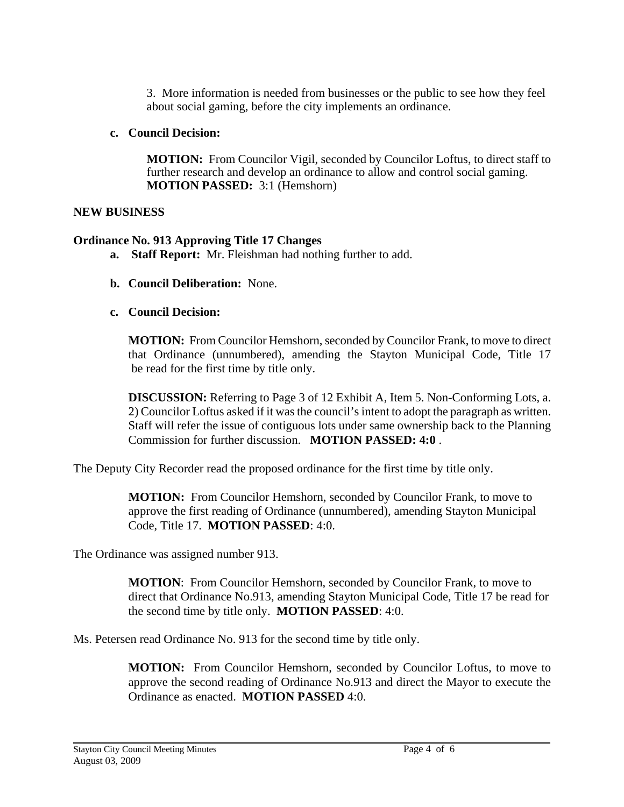3. More information is needed from businesses or the public to see how they feel about social gaming, before the city implements an ordinance.

# **c. Council Decision:**

 **MOTION:** From Councilor Vigil, seconded by Councilor Loftus, to direct staff to further research and develop an ordinance to allow and control social gaming. **MOTION PASSED:** 3:1 (Hemshorn)

# **NEW BUSINESS**

# **Ordinance No. 913 Approving Title 17 Changes**

- **a. Staff Report:** Mr. Fleishman had nothing further to add.
- **b. Council Deliberation:** None.
- **c. Council Decision:**

**MOTION:** From Councilor Hemshorn, seconded by Councilor Frank, to move to direct that Ordinance (unnumbered), amending the Stayton Municipal Code, Title 17 be read for the first time by title only.

**DISCUSSION:** Referring to Page 3 of 12 Exhibit A, Item 5. Non-Conforming Lots, a. 2) Councilor Loftus asked if it was the council's intent to adopt the paragraph as written. Staff will refer the issue of contiguous lots under same ownership back to the Planning Commission for further discussion. **MOTION PASSED: 4:0** .

The Deputy City Recorder read the proposed ordinance for the first time by title only.

**MOTION:** From Councilor Hemshorn, seconded by Councilor Frank, to move to approve the first reading of Ordinance (unnumbered), amending Stayton Municipal Code, Title 17. **MOTION PASSED**: 4:0.

The Ordinance was assigned number 913.

**MOTION**: From Councilor Hemshorn, seconded by Councilor Frank, to move to direct that Ordinance No.913, amending Stayton Municipal Code, Title 17 be read for the second time by title only. **MOTION PASSED**: 4:0.

Ms. Petersen read Ordinance No. 913 for the second time by title only.

**MOTION:** From Councilor Hemshorn, seconded by Councilor Loftus, to move to approve the second reading of Ordinance No.913 and direct the Mayor to execute the Ordinance as enacted. **MOTION PASSED** 4:0.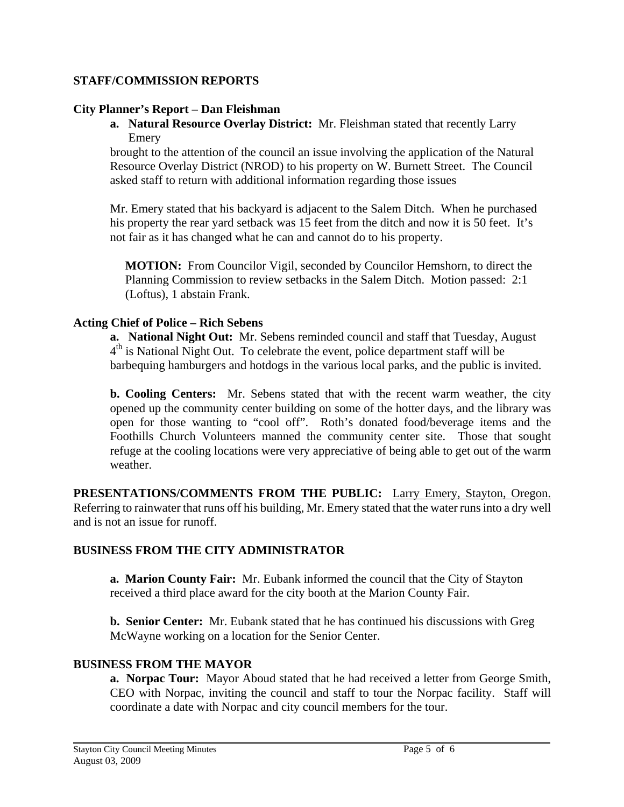# **STAFF/COMMISSION REPORTS**

# **City Planner's Report – Dan Fleishman**

**a. Natural Resource Overlay District:** Mr. Fleishman stated that recently Larry Emery

brought to the attention of the council an issue involving the application of the Natural Resource Overlay District (NROD) to his property on W. Burnett Street. The Council asked staff to return with additional information regarding those issues

Mr. Emery stated that his backyard is adjacent to the Salem Ditch. When he purchased his property the rear yard setback was 15 feet from the ditch and now it is 50 feet. It's not fair as it has changed what he can and cannot do to his property.

 **MOTION:** From Councilor Vigil, seconded by Councilor Hemshorn, to direct the Planning Commission to review setbacks in the Salem Ditch. Motion passed: 2:1 (Loftus), 1 abstain Frank.

# **Acting Chief of Police – Rich Sebens**

**a. National Night Out:** Mr. Sebens reminded council and staff that Tuesday, August  $4<sup>th</sup>$  is National Night Out. To celebrate the event, police department staff will be barbequing hamburgers and hotdogs in the various local parks, and the public is invited.

 **b. Cooling Centers:** Mr. Sebens stated that with the recent warm weather, the city opened up the community center building on some of the hotter days, and the library was open for those wanting to "cool off". Roth's donated food/beverage items and the Foothills Church Volunteers manned the community center site. Those that sought refuge at the cooling locations were very appreciative of being able to get out of the warm weather.

**PRESENTATIONS/COMMENTS FROM THE PUBLIC:** Larry Emery, Stayton, Oregon. Referring to rainwater that runs off his building, Mr. Emery stated that the water runs into a dry well and is not an issue for runoff.

# **BUSINESS FROM THE CITY ADMINISTRATOR**

**a. Marion County Fair:** Mr. Eubank informed the council that the City of Stayton received a third place award for the city booth at the Marion County Fair.

**b. Senior Center:** Mr. Eubank stated that he has continued his discussions with Greg McWayne working on a location for the Senior Center.

# **BUSINESS FROM THE MAYOR**

**a. Norpac Tour:** Mayor Aboud stated that he had received a letter from George Smith, CEO with Norpac, inviting the council and staff to tour the Norpac facility. Staff will coordinate a date with Norpac and city council members for the tour.